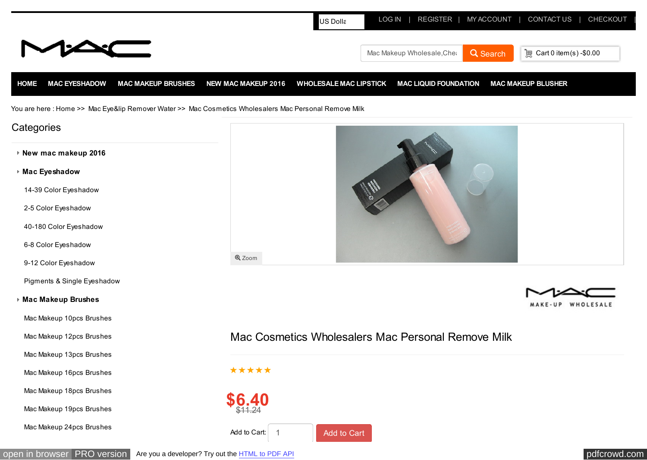

### **Categories**

**[New mac makeup 2016](http://www.maccosmeticswholesalers.com/new-mac-makeup-2016-c-2/?zenid=5h2loa216lisculd50j50rja4omcohgm)**

#### **[Mac Eyeshadow](http://www.maccosmeticswholesalers.com/mac-eyeshadow-c-18/?zenid=5h2loa216lisculd50j50rja4omcohgm)**

- [14-39 Color Eyeshadow](http://www.maccosmeticswholesalers.com/1439-color-eyeshadow-c-18_30/?zenid=5h2loa216lisculd50j50rja4omcohgm)
- [2-5 Color Eyeshadow](http://www.maccosmeticswholesalers.com/25-color-eyeshadow-c-18_19/?zenid=5h2loa216lisculd50j50rja4omcohgm)
- [40-180 Color Eyeshadow](http://www.maccosmeticswholesalers.com/40180-color-eyeshadow-c-18_32/?zenid=5h2loa216lisculd50j50rja4omcohgm)
- [6-8 Color Eyeshadow](http://www.maccosmeticswholesalers.com/68-color-eyeshadow-c-18_34/?zenid=5h2loa216lisculd50j50rja4omcohgm)
- [9-12 Color Eyeshadow](http://www.maccosmeticswholesalers.com/912-color-eyeshadow-c-18_31/?zenid=5h2loa216lisculd50j50rja4omcohgm)
- [Pigments & Single Eyeshadow](http://www.maccosmeticswholesalers.com/pigments-single-eyeshadow-c-18_33/?zenid=5h2loa216lisculd50j50rja4omcohgm)

#### **[Mac Makeup Brushes](http://www.maccosmeticswholesalers.com/mac-makeup-brushes-c-10/?zenid=5h2loa216lisculd50j50rja4omcohgm)**

- [Mac Makeup 10pcs Brushes](http://www.maccosmeticswholesalers.com/mac-makeup-10pcs-brushes-c-10_23/?zenid=5h2loa216lisculd50j50rja4omcohgm)
- [Mac Makeup 12pcs Brushes](http://www.maccosmeticswholesalers.com/mac-makeup-12pcs-brushes-c-10_21/?zenid=5h2loa216lisculd50j50rja4omcohgm)
- [Mac Makeup 13pcs Brushes](http://www.maccosmeticswholesalers.com/mac-makeup-13pcs-brushes-c-10_11/?zenid=5h2loa216lisculd50j50rja4omcohgm)
- [Mac Makeup 16pcs Brushes](http://www.maccosmeticswholesalers.com/mac-makeup-16pcs-brushes-c-10_40/?zenid=5h2loa216lisculd50j50rja4omcohgm)
- [Mac Makeup 18pcs Brushes](http://www.maccosmeticswholesalers.com/mac-makeup-18pcs-brushes-c-10_24/?zenid=5h2loa216lisculd50j50rja4omcohgm)
- [Mac Makeup 19pcs Brushes](http://www.maccosmeticswholesalers.com/mac-makeup-19pcs-brushes-c-10_25/?zenid=5h2loa216lisculd50j50rja4omcohgm)

 [Mac Makeup 24pcs Brushes](http://www.maccosmeticswholesalers.com/mac-makeup-24pcs-brushes-c-10_41/?zenid=5h2loa216lisculd50j50rja4omcohgm)





## Mac Cosmetics Wholesalers Mac Personal Remove Milk

\*\*\*\*\*



Add to Cart: 1 Add to Cart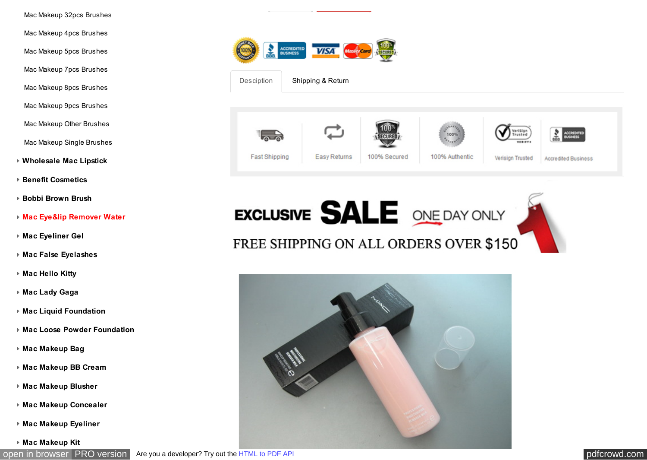[Mac Makeup 32pcs Brushes](http://www.maccosmeticswholesalers.com/mac-makeup-32pcs-brushes-c-10_42/?zenid=5h2loa216lisculd50j50rja4omcohgm)

 [Mac Makeup 4pcs Brushes](http://www.maccosmeticswholesalers.com/mac-makeup-4pcs-brushes-c-10_44/?zenid=5h2loa216lisculd50j50rja4omcohgm)

 [Mac Makeup 5pcs Brushes](http://www.maccosmeticswholesalers.com/mac-makeup-5pcs-brushes-c-10_20/?zenid=5h2loa216lisculd50j50rja4omcohgm)

 [Mac Makeup 7pcs Brushes](http://www.maccosmeticswholesalers.com/mac-makeup-7pcs-brushes-c-10_22/?zenid=5h2loa216lisculd50j50rja4omcohgm)

 [Mac Makeup 8pcs Brushes](http://www.maccosmeticswholesalers.com/mac-makeup-8pcs-brushes-c-10_43/?zenid=5h2loa216lisculd50j50rja4omcohgm)

 [Mac Makeup 9pcs Brushes](http://www.maccosmeticswholesalers.com/mac-makeup-9pcs-brushes-c-10_28/?zenid=5h2loa216lisculd50j50rja4omcohgm)

 [Mac Makeup Other Brushes](http://www.maccosmeticswholesalers.com/mac-makeup-other-brushes-c-10_27/?zenid=5h2loa216lisculd50j50rja4omcohgm)

 [Mac Makeup Single Brushes](http://www.maccosmeticswholesalers.com/mac-makeup-single-brushes-c-10_26/?zenid=5h2loa216lisculd50j50rja4omcohgm)

**[Wholesale Mac Lipstick](http://www.maccosmeticswholesalers.com/wholesale-mac-lipstick-c-12/?zenid=5h2loa216lisculd50j50rja4omcohgm)**

**[Benefit Cosmetics](http://www.maccosmeticswholesalers.com/benefit-cosmetics-c-49/?zenid=5h2loa216lisculd50j50rja4omcohgm)**

**[Bobbi Brown Brush](http://www.maccosmeticswholesalers.com/bobbi-brown-brush-c-50/?zenid=5h2loa216lisculd50j50rja4omcohgm)**

- **[Mac Eye&lip Remover Water](http://www.maccosmeticswholesalers.com/mac-eyelip-remover-water-c-46/?zenid=5h2loa216lisculd50j50rja4omcohgm)**
- **[Mac Eyeliner Gel](http://www.maccosmeticswholesalers.com/mac-eyeliner-gel-c-29/?zenid=5h2loa216lisculd50j50rja4omcohgm)**

**[Mac False Eyelashes](http://www.maccosmeticswholesalers.com/mac-false-eyelashes-c-3/?zenid=5h2loa216lisculd50j50rja4omcohgm)**

**[Mac Hello Kitty](http://www.maccosmeticswholesalers.com/mac-hello-kitty-c-6/?zenid=5h2loa216lisculd50j50rja4omcohgm)**

**[Mac Lady Gaga](http://www.maccosmeticswholesalers.com/mac-lady-gaga-c-7/?zenid=5h2loa216lisculd50j50rja4omcohgm)**

**[Mac Liquid Foundation](http://www.maccosmeticswholesalers.com/mac-liquid-foundation-c-36/?zenid=5h2loa216lisculd50j50rja4omcohgm)**

**[Mac Loose Powder Foundation](http://www.maccosmeticswholesalers.com/mac-loose-powder-foundation-c-37/?zenid=5h2loa216lisculd50j50rja4omcohgm)**

**[Mac Makeup Bag](http://www.maccosmeticswholesalers.com/mac-makeup-bag-c-13/?zenid=5h2loa216lisculd50j50rja4omcohgm)**

**[Mac Makeup BB Cream](http://www.maccosmeticswholesalers.com/mac-makeup-bb-cream-c-14/?zenid=5h2loa216lisculd50j50rja4omcohgm)**

**[Mac Makeup Blusher](http://www.maccosmeticswholesalers.com/mac-makeup-blusher-c-8/?zenid=5h2loa216lisculd50j50rja4omcohgm)**

**[Mac Makeup Concealer](http://www.maccosmeticswholesalers.com/mac-makeup-concealer-c-5/?zenid=5h2loa216lisculd50j50rja4omcohgm)**

**[Mac Makeup Eyeliner](http://www.maccosmeticswholesalers.com/mac-makeup-eyeliner-c-4/?zenid=5h2loa216lisculd50j50rja4omcohgm)**

**[Mac Makeup Kit](http://www.maccosmeticswholesalers.com/mac-makeup-kit-c-39/?zenid=5h2loa216lisculd50j50rja4omcohgm)**



**Fast Shipping** 

[Desciption](http://www.maccosmeticswholesalers.com/#text_Pro_Des) | [Shipping & Return](http://www.maccosmeticswholesalers.com/#text_Shipping_Return)



Verisign<br>Trusted  $\overline{v}$  ACCREDITED

**Accredited Business** 

**EXCLUSIVE SALE** ONE DAY ONLY

# FREE SHIPPING ON ALL ORDERS OVER \$150

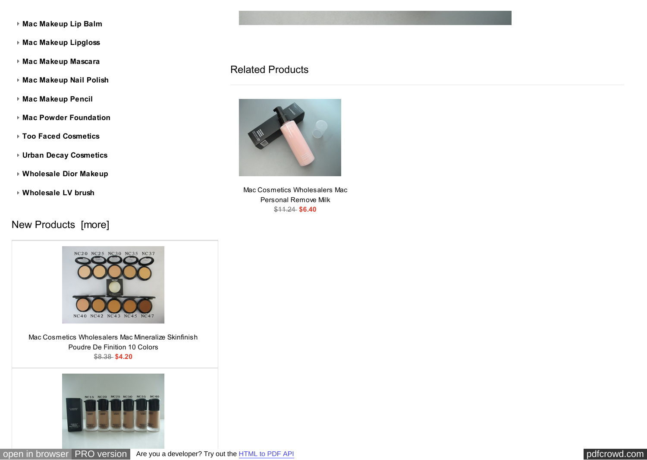- **[Mac Makeup Lip Balm](http://www.maccosmeticswholesalers.com/mac-makeup-lip-balm-c-38/?zenid=5h2loa216lisculd50j50rja4omcohgm)**
- **[Mac Makeup Lipgloss](http://www.maccosmeticswholesalers.com/mac-makeup-lipgloss-c-15/?zenid=5h2loa216lisculd50j50rja4omcohgm)**
- **[Mac Makeup Mascara](http://www.maccosmeticswholesalers.com/mac-makeup-mascara-c-16/?zenid=5h2loa216lisculd50j50rja4omcohgm)**
- **[Mac Makeup Nail Polish](http://www.maccosmeticswholesalers.com/mac-makeup-nail-polish-c-45/?zenid=5h2loa216lisculd50j50rja4omcohgm)**
- **[Mac Makeup Pencil](http://www.maccosmeticswholesalers.com/mac-makeup-pencil-c-17/?zenid=5h2loa216lisculd50j50rja4omcohgm)**
- **[Mac Powder Foundation](http://www.maccosmeticswholesalers.com/mac-powder-foundation-c-35/?zenid=5h2loa216lisculd50j50rja4omcohgm)**
- **[Too Faced Cosmetics](http://www.maccosmeticswholesalers.com/too-faced-cosmetics-c-48/?zenid=5h2loa216lisculd50j50rja4omcohgm)**
- **[Urban Decay Cosmetics](http://www.maccosmeticswholesalers.com/urban-decay-cosmetics-c-47/?zenid=5h2loa216lisculd50j50rja4omcohgm)**
- **[Wholesale Dior Makeup](http://www.maccosmeticswholesalers.com/wholesale-dior-makeup-c-1/?zenid=5h2loa216lisculd50j50rja4omcohgm)**
- **[Wholesale LV brush](http://www.maccosmeticswholesalers.com/wholesale-lv-brush-c-9/?zenid=5h2loa216lisculd50j50rja4omcohgm)**

#### [New Products \[more\]](http://www.maccosmeticswholesalers.com/products_new/?zenid=5h2loa216lisculd50j50rja4omcohgm)



[Mac Cosmetics Wholesalers Mac Mineralize Skinfinish](http://www.maccosmeticswholesalers.com/mac-powder-foundation-c-35/mac-cosmetics-wholesalers-mac-mineralize-skinfinish-poudre-de-finition-10-colors-p-511/?zenid=5h2loa216lisculd50j50rja4omcohgm) Poudre De Finition 10 Colors \$8.38 **\$4.20**



# Related Products



[Mac Cosmetics Wholesalers Mac](http://www.maccosmeticswholesalers.com/mac-eyelip-remover-water-c-46/mac-cosmetics-wholesalers-mac-personal-remove-milk-p-530/?zenid=5h2loa216lisculd50j50rja4omcohgm) Personal Remove Milk \$11.24 **\$6.40**